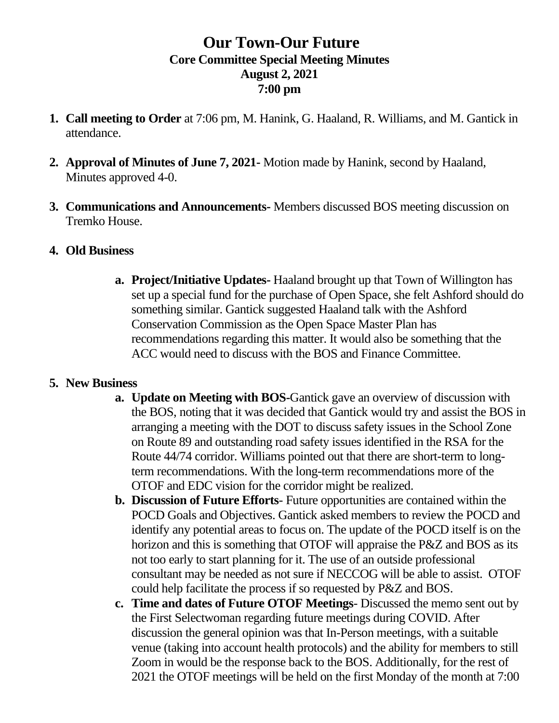## **Our Town-Our Future Core Committee Special Meeting Minutes August 2, 2021 7:00 pm**

- **1. Call meeting to Order** at 7:06 pm, M. Hanink, G. Haaland, R. Williams, and M. Gantick in attendance.
- **2. Approval of Minutes of June 7, 2021-** Motion made by Hanink, second by Haaland, Minutes approved 4-0.
- **3. Communications and Announcements-** Members discussed BOS meeting discussion on Tremko House.

## **4. Old Business**

**a. Project/Initiative Updates-** Haaland brought up that Town of Willington has set up a special fund for the purchase of Open Space, she felt Ashford should do something similar. Gantick suggested Haaland talk with the Ashford Conservation Commission as the Open Space Master Plan has recommendations regarding this matter. It would also be something that the ACC would need to discuss with the BOS and Finance Committee.

## **5. New Business**

- **a. Update on Meeting with BOS-**Gantick gave an overview of discussion with the BOS, noting that it was decided that Gantick would try and assist the BOS in arranging a meeting with the DOT to discuss safety issues in the School Zone on Route 89 and outstanding road safety issues identified in the RSA for the Route 44/74 corridor. Williams pointed out that there are short-term to longterm recommendations. With the long-term recommendations more of the OTOF and EDC vision for the corridor might be realized.
- **b. Discussion of Future Efforts** Future opportunities are contained within the POCD Goals and Objectives. Gantick asked members to review the POCD and identify any potential areas to focus on. The update of the POCD itself is on the horizon and this is something that OTOF will appraise the P&Z and BOS as its not too early to start planning for it. The use of an outside professional consultant may be needed as not sure if NECCOG will be able to assist. OTOF could help facilitate the process if so requested by P&Z and BOS.
- **c. Time and dates of Future OTOF Meetings** Discussed the memo sent out by the First Selectwoman regarding future meetings during COVID. After discussion the general opinion was that In-Person meetings, with a suitable venue (taking into account health protocols) and the ability for members to still Zoom in would be the response back to the BOS. Additionally, for the rest of 2021 the OTOF meetings will be held on the first Monday of the month at 7:00